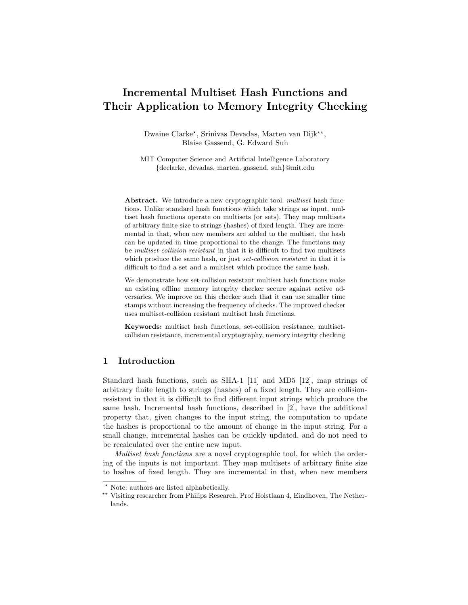# Incremental Multiset Hash Functions and Their Application to Memory Integrity Checking

Dwaine Clarke\*, Srinivas Devadas, Marten van Dijk\*\*, Blaise Gassend, G. Edward Suh

MIT Computer Science and Artificial Intelligence Laboratory {declarke, devadas, marten, gassend, suh}@mit.edu

Abstract. We introduce a new cryptographic tool: multiset hash functions. Unlike standard hash functions which take strings as input, multiset hash functions operate on multisets (or sets). They map multisets of arbitrary finite size to strings (hashes) of fixed length. They are incremental in that, when new members are added to the multiset, the hash can be updated in time proportional to the change. The functions may be multiset-collision resistant in that it is difficult to find two multisets which produce the same hash, or just set-collision resistant in that it is difficult to find a set and a multiset which produce the same hash.

We demonstrate how set-collision resistant multiset hash functions make an existing offline memory integrity checker secure against active adversaries. We improve on this checker such that it can use smaller time stamps without increasing the frequency of checks. The improved checker uses multiset-collision resistant multiset hash functions.

Keywords: multiset hash functions, set-collision resistance, multisetcollision resistance, incremental cryptography, memory integrity checking

# 1 Introduction

Standard hash functions, such as SHA-1 [11] and MD5 [12], map strings of arbitrary finite length to strings (hashes) of a fixed length. They are collisionresistant in that it is difficult to find different input strings which produce the same hash. Incremental hash functions, described in [2], have the additional property that, given changes to the input string, the computation to update the hashes is proportional to the amount of change in the input string. For a small change, incremental hashes can be quickly updated, and do not need to be recalculated over the entire new input.

Multiset hash functions are a novel cryptographic tool, for which the ordering of the inputs is not important. They map multisets of arbitrary finite size to hashes of fixed length. They are incremental in that, when new members

Note: authors are listed alphabetically.

<sup>\*\*</sup> Visiting researcher from Philips Research, Prof Holstlaan 4, Eindhoven, The Netherlands.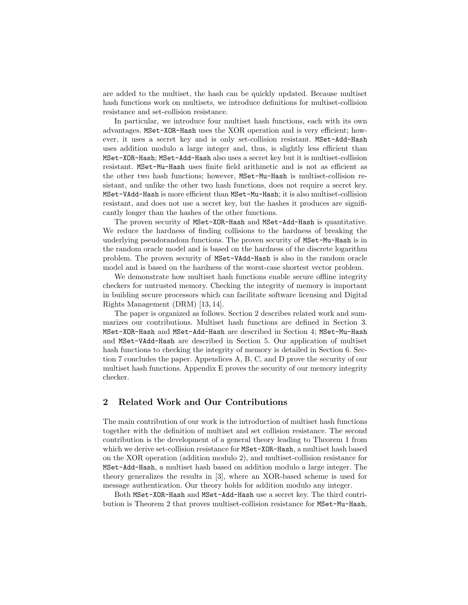are added to the multiset, the hash can be quickly updated. Because multiset hash functions work on multisets, we introduce definitions for multiset-collision resistance and set-collision resistance.

In particular, we introduce four multiset hash functions, each with its own advantages. MSet-XOR-Hash uses the XOR operation and is very efficient; however, it uses a secret key and is only set-collision resistant. MSet-Add-Hash uses addition modulo a large integer and, thus, is slightly less efficient than MSet-XOR-Hash; MSet-Add-Hash also uses a secret key but it is multiset-collision resistant. MSet-Mu-Hash uses finite field arithmetic and is not as efficient as the other two hash functions; however, MSet-Mu-Hash is multiset-collision resistant, and unlike the other two hash functions, does not require a secret key. MSet-VAdd-Hash is more efficient than MSet-Mu-Hash; it is also multiset-collision resistant, and does not use a secret key, but the hashes it produces are significantly longer than the hashes of the other functions.

The proven security of MSet-XOR-Hash and MSet-Add-Hash is quantitative. We reduce the hardness of finding collisions to the hardness of breaking the underlying pseudorandom functions. The proven security of MSet-Mu-Hash is in the random oracle model and is based on the hardness of the discrete logarithm problem. The proven security of MSet-VAdd-Hash is also in the random oracle model and is based on the hardness of the worst-case shortest vector problem.

We demonstrate how multiset hash functions enable secure offline integrity checkers for untrusted memory. Checking the integrity of memory is important in building secure processors which can facilitate software licensing and Digital Rights Management (DRM) [13, 14].

The paper is organized as follows. Section 2 describes related work and summarizes our contributions. Multiset hash functions are defined in Section 3. MSet-XOR-Hash and MSet-Add-Hash are described in Section 4; MSet-Mu-Hash and MSet-VAdd-Hash are described in Section 5. Our application of multiset hash functions to checking the integrity of memory is detailed in Section 6. Section 7 concludes the paper. Appendices A, B, C, and D prove the security of our multiset hash functions. Appendix E proves the security of our memory integrity checker.

# 2 Related Work and Our Contributions

The main contribution of our work is the introduction of multiset hash functions together with the definition of multiset and set collision resistance. The second contribution is the development of a general theory leading to Theorem 1 from which we derive set-collision resistance for MSet-XOR-Hash, a multiset hash based on the XOR operation (addition modulo 2), and multiset-collision resistance for MSet-Add-Hash, a multiset hash based on addition modulo a large integer. The theory generalizes the results in [3], where an XOR-based scheme is used for message authentication. Our theory holds for addition modulo any integer.

Both MSet-XOR-Hash and MSet-Add-Hash use a secret key. The third contribution is Theorem 2 that proves multiset-collision resistance for MSet-Mu-Hash,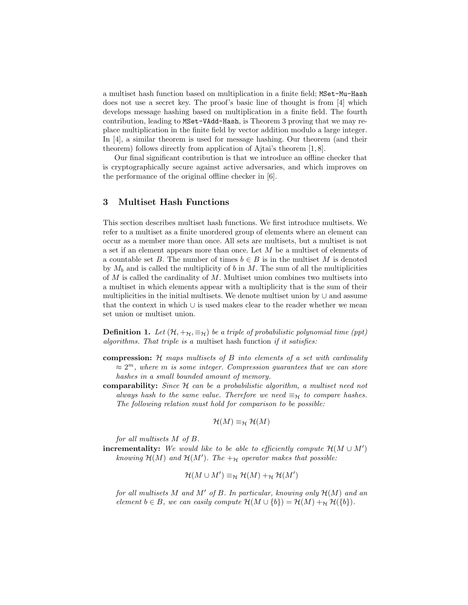a multiset hash function based on multiplication in a finite field; MSet-Mu-Hash does not use a secret key. The proof's basic line of thought is from [4] which develops message hashing based on multiplication in a finite field. The fourth contribution, leading to MSet-VAdd-Hash, is Theorem 3 proving that we may replace multiplication in the finite field by vector addition modulo a large integer. In [4], a similar theorem is used for message hashing. Our theorem (and their theorem) follows directly from application of Ajtai's theorem [1, 8].

Our final significant contribution is that we introduce an offline checker that is cryptographically secure against active adversaries, and which improves on the performance of the original offline checker in [6].

# 3 Multiset Hash Functions

This section describes multiset hash functions. We first introduce multisets. We refer to a multiset as a finite unordered group of elements where an element can occur as a member more than once. All sets are multisets, but a multiset is not a set if an element appears more than once. Let M be a multiset of elements of a countable set B. The number of times  $b \in B$  is in the multiset M is denoted by  $M_b$  and is called the multiplicity of b in M. The sum of all the multiplicities of  $M$  is called the cardinality of  $M$ . Multiset union combines two multisets into a multiset in which elements appear with a multiplicity that is the sum of their multiplicities in the initial multisets. We denote multiset union by ∪ and assume that the context in which ∪ is used makes clear to the reader whether we mean set union or multiset union.

**Definition 1.** Let  $(\mathcal{H}, +_{\mathcal{H}}, \equiv_{\mathcal{H}})$  be a triple of probabilistic polynomial time (ppt) algorithms. That triple is a multiset hash function if it satisfies:

- compression:  $H$  maps multisets of  $B$  into elements of a set with cardinality  $\approx 2^m$ , where m is some integer. Compression guarantees that we can store hashes in a small bounded amount of memory.
- comparability: Since  $H$  can be a probabilistic algorithm, a multiset need not always hash to the same value. Therefore we need  $\equiv_H$  to compare hashes. The following relation must hold for comparison to be possible:

$$
\mathcal{H}(M) \equiv_{\mathcal{H}} \mathcal{H}(M)
$$

for all multisets M of B.

**incrementality:** We would like to be able to efficiently compute  $\mathcal{H}(M \cup M')$ knowing  $\mathcal{H}(M)$  and  $\mathcal{H}(M')$ . The  $+_H$  operator makes that possible:

$$
\mathcal{H}(M \cup M') \equiv_{\mathcal{H}} \mathcal{H}(M) +_{\mathcal{H}} \mathcal{H}(M')
$$

for all multisets M and M' of B. In particular, knowing only  $\mathcal{H}(M)$  and an element  $b \in B$ , we can easily compute  $\mathcal{H}(M \cup \{b\}) = \mathcal{H}(M) +_{\mathcal{H}} \mathcal{H}(\{b\}).$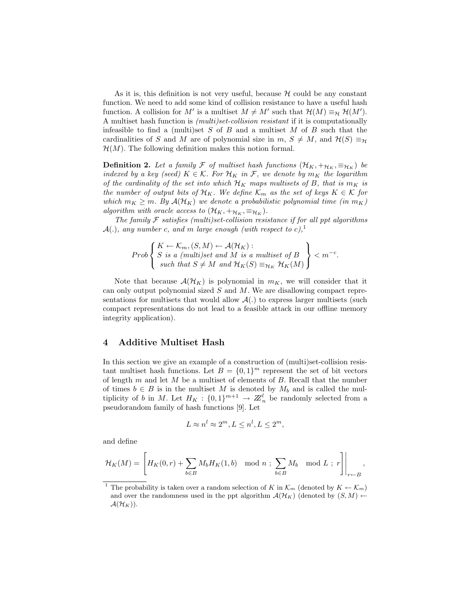As it is, this definition is not very useful, because  $H$  could be any constant function. We need to add some kind of collision resistance to have a useful hash function. A collision for M' is a multiset  $M \neq M'$  such that  $\mathcal{H}(M) \equiv_{\mathcal{H}} \mathcal{H}(M')$ . A multiset hash function is (multi)set-collision resistant if it is computationally infeasible to find a (multi)set  $S$  of  $B$  and a multiset  $M$  of  $B$  such that the cardinalities of S and M are of polynomial size in  $m, S \neq M$ , and  $\mathcal{H}(S) \equiv_{\mathcal{H}}$  $\mathcal{H}(M)$ . The following definition makes this notion formal.

**Definition 2.** Let a family  $\mathcal F$  of multiset hash functions  $(\mathcal H_K, +_{\mathcal H_K}, \equiv_{\mathcal H_K})$  be indexed by a key (seed)  $K \in \mathcal{K}$ . For  $\mathcal{H}_K$  in F, we denote by  $m_K$  the logarithm of the cardinality of the set into which  $\mathcal{H}_K$  maps multisets of B, that is  $m_K$  is the number of output bits of  $\mathcal{H}_K$ . We define  $\mathcal{K}_m$  as the set of keys  $K \in \mathcal{K}$  for which  $m_K \geq m$ . By  $\mathcal{A}(\mathcal{H}_K)$  we denote a probabilistic polynomial time (in  $m_K$ ) algorithm with oracle access to  $(\mathcal{H}_K, +_{\mathcal{H}_K}, \equiv_{\mathcal{H}_K})$ .

The family  $\mathcal F$  satisfies (multi)set-collision resistance if for all ppt algorithms  $\mathcal{A}(.)$ , any number c, and m large enough (with respect to c),<sup>1</sup>

$$
Prob\left\{\n\begin{array}{l}\nK \leftarrow \mathcal{K}_m, (S, M) \leftarrow \mathcal{A}(\mathcal{H}_K): \\
S \text{ is a (multi)set and } M \text{ is a multiset of } B \\
\text{ such that } S \neq M \text{ and } \mathcal{H}_K(S) \equiv_{\mathcal{H}_K} \mathcal{H}_K(M)\n\end{array}\n\right\} < m^{-c}.
$$

Note that because  $\mathcal{A}(\mathcal{H}_K)$  is polynomial in  $m_K$ , we will consider that it can only output polynomial sized  $S$  and  $M$ . We are disallowing compact representations for multisets that would allow  $\mathcal{A}(\cdot)$  to express larger multisets (such compact representations do not lead to a feasible attack in our offline memory integrity application).

## 4 Additive Multiset Hash

In this section we give an example of a construction of (multi)set-collision resistant multiset hash functions. Let  $B = \{0,1\}^m$  represent the set of bit vectors of length  $m$  and let  $M$  be a multiset of elements of  $B$ . Recall that the number of times  $b \in B$  is in the multiset M is denoted by  $M_b$  and is called the multiplicity of b in M. Let  $H_K: \{0,1\}^{m+1} \to \mathbb{Z}_n^l$  be randomly selected from a pseudorandom family of hash functions [9]. Let

$$
L \approx n^l \approx 2^m, L \le n^l, L \le 2^m,
$$

and define

$$
\mathcal{H}_K(M)=\left.\left[H_K(0,r)+\sum_{b\in B}M_bH_K(1,b)\mod n \ ; \ \sum_{b\in B}M_b\mod L \ ; \ r\right]\right|_{r\leftarrow B},
$$

<sup>&</sup>lt;sup>1</sup> The probability is taken over a random selection of K in  $\mathcal{K}_m$  (denoted by  $K \leftarrow \mathcal{K}_m$ ) and over the randomness used in the ppt algorithm  $\mathcal{A}(\mathcal{H}_K)$  (denoted by  $(S, M)$   $\leftarrow$  $\mathcal{A}(\mathcal{H}_K)).$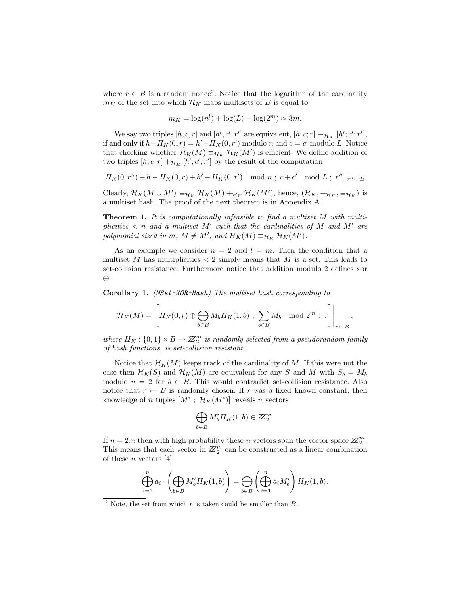where  $r \in B$  is a random nonce<sup>2</sup>. Notice that the logarithm of the cardinality  $m_K$  of the set into which  $\mathcal{H}_K$  maps multisets of B is equal to

$$
m_K = \log(n^l) + \log(L) + \log(2^m) \approx 3m.
$$

We say two triples  $[h, c, r]$  and  $[h', c', r']$  are equivalent,  $[h; c; r] \equiv_{\mathcal{H}_K} [h'; c'; r'],$ if and only if  $h - H_K(0,r) = h' - H_K(0,r')$  modulo n and  $c = c'$  modulo L. Notice that checking whether  $\mathcal{H}_K(M) \equiv_{\mathcal{H}_K} \mathcal{H}_K(M')$  is efficient. We define addition of two triples  $[h;c;r] +_{\mathcal{H}_K} [h';c';r']$  by the result of the computation

$$
[H_K(0,r'')+h-H_K(0,r)+h'-H_K(0,r') \mod n \; ; \; c+c' \mod L \; ; \; r'']|_{r'' \leftarrow B}.
$$

Clearly,  $\mathcal{H}_K(M \cup M') \equiv_{\mathcal{H}_K} \mathcal{H}_K(M) +_{\mathcal{H}_K} \mathcal{H}_K(M')$ , hence,  $(\mathcal{H}_K, +_{\mathcal{H}_K}, \equiv_{\mathcal{H}_K})$  is a multiset hash. The proof of the next theorem is in Appendix A.

**Theorem 1.** It is computationally infeasible to find a multiset M with multiplicities  $\langle n \rangle$  and a multiset M' such that the cardinalities of M and M' are polynomial sized in m,  $M \neq M'$ , and  $\mathcal{H}_K(M) \equiv_{\mathcal{H}_K} \mathcal{H}_K(M')$ .

As an example we consider  $n = 2$  and  $l = m$ . Then the condition that a multiset M has multiplicities  $\langle 2 \text{ simply means that } M \text{ is a set. This leads to}$ set-collision resistance. Furthermore notice that addition modulo 2 defines xor ⊕.

Corollary 1. (MSet-XOR-Hash) The multiset hash corresponding to

$$
\mathcal{H}_K(M)=\left.\left[H_K(0,r)\oplus\bigoplus_{b\in B}M_bH_K(1,b)\ ;\ \sum_{b\in B}M_b\mod 2^m\ ;\ r\right]\right|_{r\leftarrow B},
$$

where  $H_K: \{0,1\} \times B \to \mathbb{Z}_2^m$  is randomly selected from a pseudorandom family of hash functions, is set-collision resistant.

Notice that  $\mathcal{H}_K(M)$  keeps track of the cardinality of M. If this were not the case then  $\mathcal{H}_K(S)$  and  $\mathcal{H}_K(M)$  are equivalent for any S and M with  $S_b = M_b$ modulo  $n = 2$  for  $b \in B$ . This would contradict set-collision resistance. Also notice that  $r \leftarrow B$  is randomly chosen. If r was a fixed known constant, then knowledge of n tuples  $[M^i$ ;  $\mathcal{H}_K(M^i)]$  reveals n vectors

$$
\bigoplus_{b \in B} M_b^i H_K(1, b) \in \mathbb{Z}_2^m.
$$

If  $n = 2m$  then with high probability these n vectors span the vector space  $\mathbb{Z}_2^m$ . This means that each vector in  $\mathbb{Z}_2^m$  can be constructed as a linear combination of these *n* vectors [4]:

$$
\bigoplus_{i=1}^n a_i \cdot \left( \bigoplus_{b \in B} M_b^i H_K(1, b) \right) = \bigoplus_{b \in B} \left( \bigoplus_{i=1}^n a_i M_b^i \right) H_K(1, b).
$$

<sup>&</sup>lt;sup>2</sup> Note, the set from which r is taken could be smaller than  $B$ .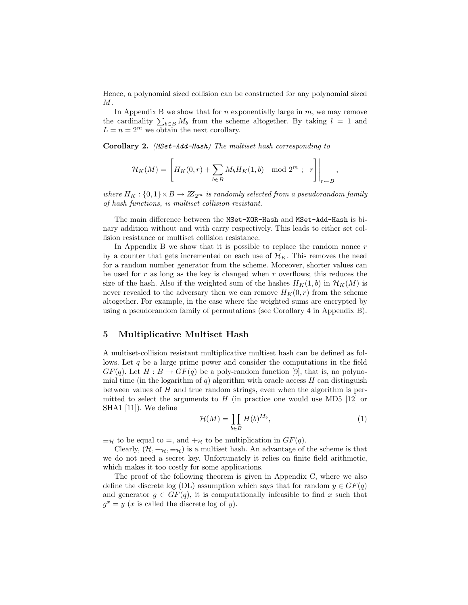Hence, a polynomial sized collision can be constructed for any polynomial sized M.

In Appendix B we show that for  $n$  exponentially large in  $m$ , we may remove In Appendix B we show that for *n* exponentially large in *m*, we may remove<br>the cardinality  $\sum_{b \in B} M_b$  from the scheme altogether. By taking  $l = 1$  and  $L = n = 2^m$  we obtain the next corollary.

Corollary 2. (MSet-Add-Hash) The multiset hash corresponding to

$$
\mathcal{H}_K(M) = \left[ H_K(0,r) + \sum_{b \in B} M_b H_K(1,b) \mod 2^m ; \ r \right] \Big|_{r \leftarrow B},
$$

where  $H_K: \{0,1\} \times B \to \mathbb{Z}_{2^m}$  is randomly selected from a pseudorandom family of hash functions, is multiset collision resistant.

The main difference between the MSet-XOR-Hash and MSet-Add-Hash is binary addition without and with carry respectively. This leads to either set collision resistance or multiset collision resistance.

In Appendix B we show that it is possible to replace the random nonce  $r$ by a counter that gets incremented on each use of  $\mathcal{H}_K$ . This removes the need for a random number generator from the scheme. Moreover, shorter values can be used for r as long as the key is changed when r overflows; this reduces the size of the hash. Also if the weighted sum of the hashes  $H_K(1, b)$  in  $\mathcal{H}_K(M)$  is never revealed to the adversary then we can remove  $H_K(0, r)$  from the scheme altogether. For example, in the case where the weighted sums are encrypted by using a pseudorandom family of permutations (see Corollary 4 in Appendix B).

## 5 Multiplicative Multiset Hash

A multiset-collision resistant multiplicative multiset hash can be defined as follows. Let  $q$  be a large prime power and consider the computations in the field  $GF(q)$ . Let  $H : B \to GF(q)$  be a poly-random function [9], that is, no polynomial time (in the logarithm of q) algorithm with oracle access H can distinguish between values of  $H$  and true random strings, even when the algorithm is permitted to select the arguments to  $H$  (in practice one would use MD5 [12] or SHA1 [11]). We define

$$
\mathcal{H}(M) = \prod_{b \in B} H(b)^{M_b},\tag{1}
$$

 $\equiv_{\mathcal{H}}$  to be equal to =, and  $+_{\mathcal{H}}$  to be multiplication in  $GF(q)$ .

Clearly,  $(\mathcal{H}, +\mathcal{H}, \equiv_{\mathcal{H}})$  is a multiset hash. An advantage of the scheme is that we do not need a secret key. Unfortunately it relies on finite field arithmetic, which makes it too costly for some applications.

The proof of the following theorem is given in Appendix C, where we also define the discrete log (DL) assumption which says that for random  $y \in GF(q)$ and generator  $g \in GF(q)$ , it is computationally infeasible to find x such that  $g^x = y$  (x is called the discrete log of y).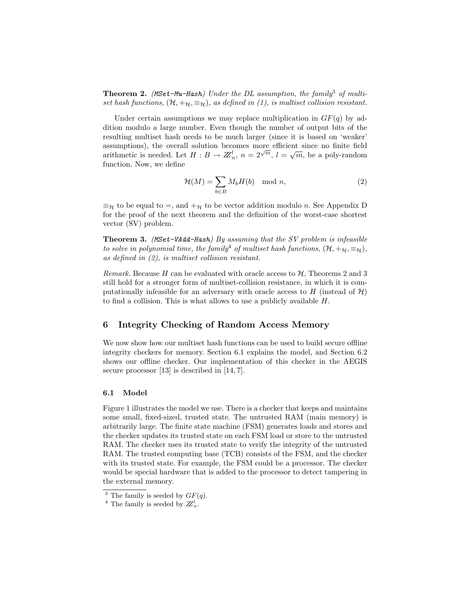**Theorem 2.** (MSet-Mu-Hash) Under the DL assumption, the family<sup>3</sup> of multiset hash functions,  $(\mathcal{H}, +_{\mathcal{H}}, \equiv_{\mathcal{H}})$ , as defined in (1), is multiset collision resistant.

Under certain assumptions we may replace multiplication in  $GF(q)$  by addition modulo a large number. Even though the number of output bits of the resulting multiset hash needs to be much larger (since it is based on 'weaker' assumptions), the overall solution becomes more efficient since no finite field assumptions), the overall solution becomes more enterest since no influe field<br>arithmetic is needed. Let  $H : B \to \mathbb{Z}_n^l$ ,  $n = 2^{\sqrt{m}}$ ,  $l = \sqrt{m}$ , be a poly-random function. Now, we define

$$
\mathcal{H}(M) = \sum_{b \in B} M_b H(b) \mod n,\tag{2}
$$

 $\equiv_{\mathcal{H}}$  to be equal to  $=$ , and  $+\mathcal{H}$  to be vector addition modulo *n*. See Appendix D for the proof of the next theorem and the definition of the worst-case shortest vector (SV) problem.

Theorem 3. (MSet-VAdd-Hash) By assuming that the SV problem is infeasible to solve in polynomial time, the family<sup>4</sup> of multiset hash functions,  $(\mathcal{H}, +_{\mathcal{H}}, \equiv_{\mathcal{H}})$ , as defined in (2), is multiset collision resistant.

*Remark.* Because H can be evaluated with oracle access to  $H$ , Theorems 2 and 3 still hold for a stronger form of multiset-collision resistance, in which it is computationally infeasible for an adversary with oracle access to H (instead of  $\mathcal{H}$ ) to find a collision. This is what allows to use a publicly available H.

# 6 Integrity Checking of Random Access Memory

We now show how our multiset hash functions can be used to build secure offline integrity checkers for memory. Section 6.1 explains the model, and Section 6.2 shows our offline checker. Our implementation of this checker in the AEGIS secure processor [13] is described in [14, 7].

#### 6.1 Model

Figure 1 illustrates the model we use. There is a checker that keeps and maintains some small, fixed-sized, trusted state. The untrusted RAM (main memory) is arbitrarily large. The finite state machine (FSM) generates loads and stores and the checker updates its trusted state on each FSM load or store to the untrusted RAM. The checker uses its trusted state to verify the integrity of the untrusted RAM. The trusted computing base (TCB) consists of the FSM, and the checker with its trusted state. For example, the FSM could be a processor. The checker would be special hardware that is added to the processor to detect tampering in the external memory.

<sup>&</sup>lt;sup>3</sup> The family is seeded by  $GF(q)$ .

<sup>&</sup>lt;sup>4</sup> The family is seeded by  $\mathbb{Z}_n^l$ .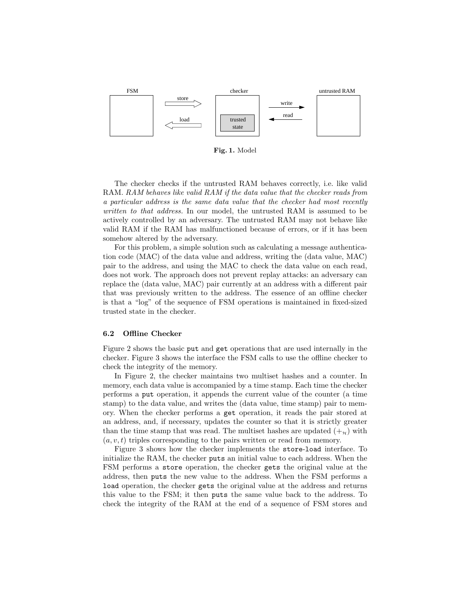

Fig. 1. Model

The checker checks if the untrusted RAM behaves correctly, i.e. like valid RAM. RAM behaves like valid RAM if the data value that the checker reads from a particular address is the same data value that the checker had most recently written to that address. In our model, the untrusted RAM is assumed to be actively controlled by an adversary. The untrusted RAM may not behave like valid RAM if the RAM has malfunctioned because of errors, or if it has been somehow altered by the adversary.

For this problem, a simple solution such as calculating a message authentication code (MAC) of the data value and address, writing the (data value, MAC) pair to the address, and using the MAC to check the data value on each read, does not work. The approach does not prevent replay attacks: an adversary can replace the (data value, MAC) pair currently at an address with a different pair that was previously written to the address. The essence of an offline checker is that a "log" of the sequence of FSM operations is maintained in fixed-sized trusted state in the checker.

#### 6.2 Offline Checker

Figure 2 shows the basic put and get operations that are used internally in the checker. Figure 3 shows the interface the FSM calls to use the offline checker to check the integrity of the memory.

In Figure 2, the checker maintains two multiset hashes and a counter. In memory, each data value is accompanied by a time stamp. Each time the checker performs a put operation, it appends the current value of the counter (a time stamp) to the data value, and writes the (data value, time stamp) pair to memory. When the checker performs a get operation, it reads the pair stored at an address, and, if necessary, updates the counter so that it is strictly greater than the time stamp that was read. The multiset hashes are updated  $(+_{\gamma})$  with  $(a, v, t)$  triples corresponding to the pairs written or read from memory.

Figure 3 shows how the checker implements the store-load interface. To initialize the RAM, the checker puts an initial value to each address. When the FSM performs a store operation, the checker gets the original value at the address, then puts the new value to the address. When the FSM performs a load operation, the checker gets the original value at the address and returns this value to the FSM; it then puts the same value back to the address. To check the integrity of the RAM at the end of a sequence of FSM stores and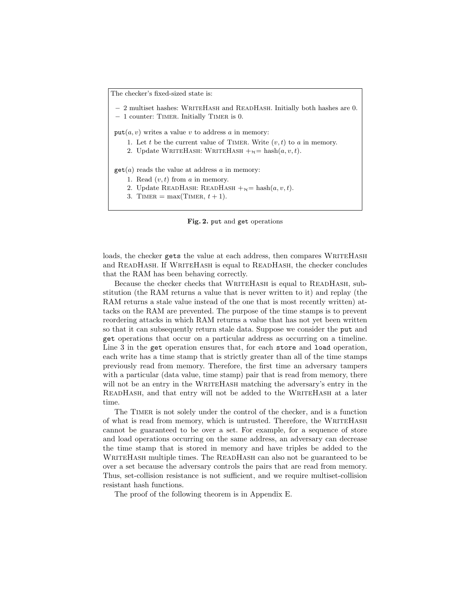The checker's fixed-sized state is:

– 2 multiset hashes: WriteHash and ReadHash. Initially both hashes are 0.

– 1 counter: Timer. Initially Timer is 0.

 $put(a, v)$  writes a value v to address a in memory:

- 1. Let t be the current value of TIMER. Write  $(v, t)$  to a in memory.
- 2. Update WRITEHASH: WRITEHASH  $+_{\mathcal{H}}=\text{hash}(a, v, t)$ .

 $get(a)$  reads the value at address a in memory:

- 1. Read  $(v, t)$  from a in memory.
- 2. Update READHASH: READHASH  $+_{\mathcal{H}}=\text{hash}(a, v, t)$ .
- 3. TIMER = max(TIMER,  $t + 1$ ).



loads, the checker gets the value at each address, then compares WRITEHASH and READHASH. If WRITEHASH is equal to READHASH, the checker concludes that the RAM has been behaving correctly.

Because the checker checks that WRITEHASH is equal to READHASH, substitution (the RAM returns a value that is never written to it) and replay (the RAM returns a stale value instead of the one that is most recently written) attacks on the RAM are prevented. The purpose of the time stamps is to prevent reordering attacks in which RAM returns a value that has not yet been written so that it can subsequently return stale data. Suppose we consider the put and get operations that occur on a particular address as occurring on a timeline. Line 3 in the get operation ensures that, for each store and load operation, each write has a time stamp that is strictly greater than all of the time stamps previously read from memory. Therefore, the first time an adversary tampers with a particular (data value, time stamp) pair that is read from memory, there will not be an entry in the WRITEHASH matching the adversary's entry in the READHASH, and that entry will not be added to the WRITEHASH at a later time.

The Timer is not solely under the control of the checker, and is a function of what is read from memory, which is untrusted. Therefore, the WRITEHASH cannot be guaranteed to be over a set. For example, for a sequence of store and load operations occurring on the same address, an adversary can decrease the time stamp that is stored in memory and have triples be added to the WRITEHASH multiple times. The READHASH can also not be guaranteed to be over a set because the adversary controls the pairs that are read from memory. Thus, set-collision resistance is not sufficient, and we require multiset-collision resistant hash functions.

The proof of the following theorem is in Appendix E.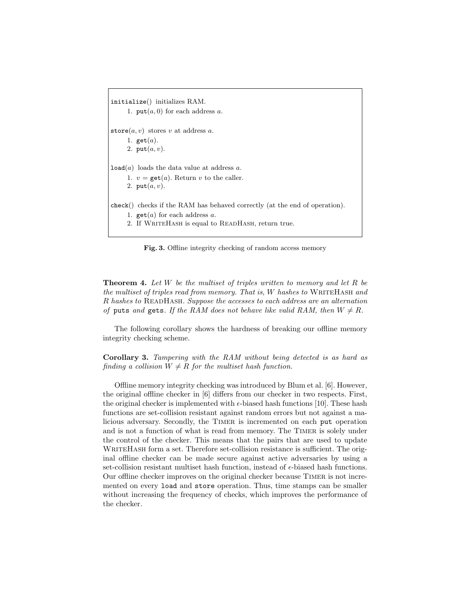initialize() initializes RAM. 1.  $put(a, 0)$  for each address a. store $(a, v)$  stores v at address a. 1. get $(a)$ . 2.  $put(a, v)$ .  $load(a)$  loads the data value at address a. 1.  $v = \text{get}(a)$ . Return v to the caller. 2.  $put(a, v)$ . check() checks if the RAM has behaved correctly (at the end of operation). 1.  $get(a)$  for each address a. 2. If WRITEHASH is equal to READHASH, return true.

Fig. 3. Offline integrity checking of random access memory

**Theorem 4.** Let W be the multiset of triples written to memory and let R be the multiset of triples read from memory. That is, W hashes to WRITEHASH and R hashes to ReadHash. Suppose the accesses to each address are an alternation of puts and gets. If the RAM does not behave like valid RAM, then  $W \neq R$ .

The following corollary shows the hardness of breaking our offline memory integrity checking scheme.

Corollary 3. Tampering with the RAM without being detected is as hard as finding a collision  $W \neq R$  for the multiset hash function.

Offline memory integrity checking was introduced by Blum et al. [6]. However, the original offline checker in [6] differs from our checker in two respects. First, the original checker is implemented with  $\epsilon$ -biased hash functions [10]. These hash functions are set-collision resistant against random errors but not against a malicious adversary. Secondly, the Timer is incremented on each put operation and is not a function of what is read from memory. The Timer is solely under the control of the checker. This means that the pairs that are used to update WRITEHASH form a set. Therefore set-collision resistance is sufficient. The original offline checker can be made secure against active adversaries by using a set-collision resistant multiset hash function, instead of  $\epsilon$ -biased hash functions. Our offline checker improves on the original checker because Timer is not incremented on every load and store operation. Thus, time stamps can be smaller without increasing the frequency of checks, which improves the performance of the checker.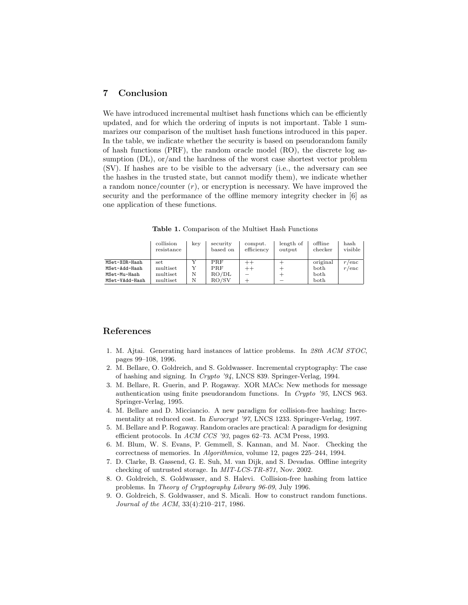# 7 Conclusion

We have introduced incremental multiset hash functions which can be efficiently updated, and for which the ordering of inputs is not important. Table 1 summarizes our comparison of the multiset hash functions introduced in this paper. In the table, we indicate whether the security is based on pseudorandom family of hash functions (PRF), the random oracle model (RO), the discrete log assumption (DL), or/and the hardness of the worst case shortest vector problem (SV). If hashes are to be visible to the adversary (i.e., the adversary can see the hashes in the trusted state, but cannot modify them), we indicate whether a random nonce/counter  $(r)$ , or encryption is necessary. We have improved the security and the performance of the offline memory integrity checker in [6] as one application of these functions.

collision key security comput. ength of offline hash resistance based on efficiency utput checker visible  $resistance$  based on efficiency output MSet-XOR-Hash set Y PRF ++ + original r/enc  $MSet-Add-Hash$  multiset Y PRF ++ + both r/set-Mu-Hash multiset N  $RO/DL$  - + both both MSet-Mu-Hash multiset N RO/DL –<br>MSet-VAdd-Hash multiset N RO/SV + MSet-VAdd-Hash multiset N RO/SV + − both

Table 1. Comparison of the Multiset Hash Functions

# References

- 1. M. Ajtai. Generating hard instances of lattice problems. In 28th ACM STOC, pages 99–108, 1996.
- 2. M. Bellare, O. Goldreich, and S. Goldwasser. Incremental cryptography: The case of hashing and signing. In Crypto '94, LNCS 839. Springer-Verlag, 1994.
- 3. M. Bellare, R. Guerin, and P. Rogaway. XOR MACs: New methods for message authentication using finite pseudorandom functions. In Crypto '95, LNCS 963. Springer-Verlag, 1995.
- 4. M. Bellare and D. Micciancio. A new paradigm for collision-free hashing: Incrementality at reduced cost. In Eurocrypt '97, LNCS 1233. Springer-Verlag, 1997.
- 5. M. Bellare and P. Rogaway. Random oracles are practical: A paradigm for designing efficient protocols. In ACM CCS '93, pages 62–73. ACM Press, 1993.
- 6. M. Blum, W. S. Evans, P. Gemmell, S. Kannan, and M. Naor. Checking the correctness of memories. In Algorithmica, volume 12, pages 225–244, 1994.
- 7. D. Clarke, B. Gassend, G. E. Suh, M. van Dijk, and S. Devadas. Offline integrity checking of untrusted storage. In MIT-LCS-TR-871, Nov. 2002.
- 8. O. Goldreich, S. Goldwasser, and S. Halevi. Collision-free hashing from lattice problems. In Theory of Cryptography Library 96-09, July 1996.
- 9. O. Goldreich, S. Goldwasser, and S. Micali. How to construct random functions. Journal of the ACM, 33(4):210–217, 1986.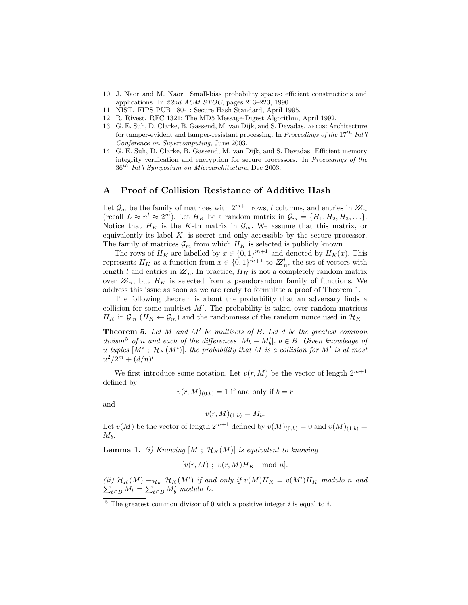- 10. J. Naor and M. Naor. Small-bias probability spaces: efficient constructions and applications. In 22nd ACM STOC, pages 213–223, 1990.
- 11. NIST. FIPS PUB 180-1: Secure Hash Standard, April 1995.
- 12. R. Rivest. RFC 1321: The MD5 Message-Digest Algorithm, April 1992.
- 13. G. E. Suh, D. Clarke, B. Gassend, M. van Dijk, and S. Devadas. aegis: Architecture for tamper-evident and tamper-resistant processing. In Proceedings of the  $17^{th}$  Int'l Conference on Supercomputing, June 2003.
- 14. G. E. Suh, D. Clarke, B. Gassend, M. van Dijk, and S. Devadas. Efficient memory integrity verification and encryption for secure processors. In Proceedings of the  $36<sup>th</sup>$  Int'l Symposium on Microarchitecture, Dec 2003.

# A Proof of Collision Resistance of Additive Hash

Let  $\mathcal{G}_m$  be the family of matrices with  $2^{m+1}$  rows, l columns, and entries in  $\mathbb{Z}_n$ (recall  $L \approx n^{l} \approx 2^{m}$ ). Let  $H_{K}$  be a random matrix in  $\mathcal{G}_{m} = \{H_{1}, H_{2}, H_{3}, \ldots\}$ . Notice that  $H_K$  is the K-th matrix in  $\mathcal{G}_m$ . We assume that this matrix, or equivalently its label  $K$ , is secret and only accessible by the secure processor. The family of matrices  $\mathcal{G}_m$  from which  $H_K$  is selected is publicly known.

The rows of  $H_K$  are labelled by  $x \in \{0,1\}^{m+1}$  and denoted by  $H_K(x)$ . This represents  $H_K$  as a function from  $x \in \{0,1\}^{m+1}$  to  $\mathbb{Z}_n^l$ , the set of vectors with length l and entries in  $\mathbb{Z}_n$ . In practice,  $H_K$  is not a completely random matrix over  $\mathbb{Z}_n$ , but  $H_K$  is selected from a pseudorandom family of functions. We address this issue as soon as we are ready to formulate a proof of Theorem 1.

The following theorem is about the probability that an adversary finds a collision for some multiset  $M'$ . The probability is taken over random matrices  $H_K$  in  $\mathcal{G}_m$  ( $H_K \leftarrow \mathcal{G}_m$ ) and the randomness of the random nonce used in  $\mathcal{H}_K$ .

**Theorem 5.** Let  $M$  and  $M'$  be multisets of  $B$ . Let  $d$  be the greatest common divisor<sup>5</sup> of n and each of the differences  $|M_b - M'_b|$ ,  $b \in B$ . Given knowledge of u tuples  $[M^i$ ;  $\mathcal{H}_K(M^i)]$ , the probability that M is a collision for M' is at most  $u^2/2^m + (d/n)^l$ .

We first introduce some notation. Let  $v(r, M)$  be the vector of length  $2^{m+1}$ defined by

$$
v(r, M)_{(0,b)} = 1
$$
 if and only if  $b = r$ 

and

$$
v(r, M)_{(1,b)} = M_b.
$$

Let  $v(M)$  be the vector of length  $2^{m+1}$  defined by  $v(M)_{(0,b)} = 0$  and  $v(M)_{(1,b)} =$  $M_h$ .

**Lemma 1.** (i) Knowing  $[M; H_K(M)]$  is equivalent to knowing

$$
[v(r, M) ; v(r, M)HK \mod n].
$$

(ii)  $\mathcal{H}_K(M) \equiv_{\mathcal{H}_K} \mathcal{H}_K(M')$  if and only if  $v(M)H_K = v(M')H_K$  modulo n and  $b \in B M_b = \sum_{b \in B} M'_b$  modulo L.

 $5$  The greatest common divisor of 0 with a positive integer i is equal to i.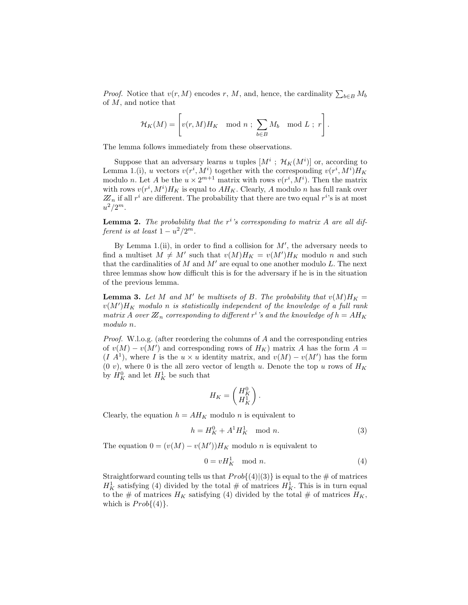*Proof.* Notice that  $v(r, M)$  encodes r, M, and, hence, the cardinality  $\sum_{b \in B} M_b$ of M, and notice that

$$
\mathcal{H}_K(M) = \left[v(r, M)H_K \mod n \; ; \; \sum_{b \in B} M_b \mod L \; ; \; r\right].
$$

The lemma follows immediately from these observations.

Suppose that an adversary learns u tuples  $[M^i; \mathcal{H}_K(M^i)]$  or, according to Lemma 1.(i), u vectors  $v(r^i, M^i)$  together with the corresponding  $v(r^i, M^i)H_K$ modulo *n*. Let *A* be the  $u \times 2^{m+1}$  matrix with rows  $v(r^i, M^i)$ . Then the matrix with rows  $v(r^i, M^i)H_K$  is equal to  $AH_K$ . Clearly, A modulo n has full rank over  $\mathbb{Z}_n$  if all  $r^i$  are different. The probability that there are two equal  $r^{i}$ 's is at most  $u^2/2^m$ .

**Lemma 2.** The probability that the  $r^i$ 's corresponding to matrix A are all different is at least  $1 - u^2/2^m$ .

By Lemma 1.(ii), in order to find a collision for  $M'$ , the adversary needs to find a multiset  $M \neq M'$  such that  $v(M)H_K = v(M')H_K$  modulo n and such that the cardinalities of  $M$  and  $M'$  are equal to one another modulo  $L$ . The next three lemmas show how difficult this is for the adversary if he is in the situation of the previous lemma.

**Lemma 3.** Let M and M' be multisets of B. The probability that  $v(M)H_K =$  $v(M')H_K$  modulo n is statistically independent of the knowledge of a full rank matrix A over  $\mathbb{Z}_n$  corresponding to different  $r^i$ 's and the knowledge of  $h = AH_K$ modulo n.

Proof. W.l.o.g. (after reordering the columns of A and the corresponding entries of  $v(M) - v(M')$  and corresponding rows of  $H_K$ ) matrix A has the form  $A =$  $(I \ A^1)$ , where I is the  $u \times u$  identity matrix, and  $v(M) - v(M')$  has the form  $(0 v)$ , where 0 is the all zero vector of length u. Denote the top u rows of  $H_K$ by  $H_K^0$  and let  $H_K^1$  be such that

$$
H_K = \begin{pmatrix} H_K^0 \\ H_K^1 \end{pmatrix}.
$$

Clearly, the equation  $h = AH_K$  modulo n is equivalent to

$$
h = H_K^0 + A^1 H_K^1 \mod n. \tag{3}
$$

The equation  $0 = (v(M) - v(M'))H_K$  modulo *n* is equivalent to

$$
0 = vH_K^1 \mod n. \tag{4}
$$

Straightforward counting tells us that  $Prob{(4)|(3)}$  is equal to the # of matrices  $H_K^1$  satisfying (4) divided by the total  $\#$  of matrices  $H_K^1$ . This is in turn equal to the # of matrices  $H_K$  satisfying (4) divided by the total # of matrices  $H_K$ , which is  $Prob{(4)}$ .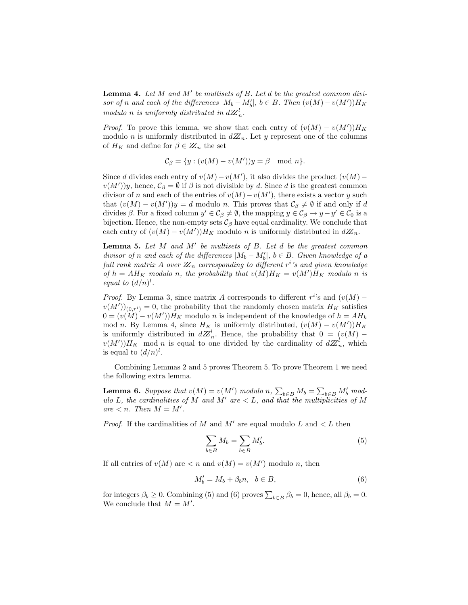**Lemma 4.** Let  $M$  and  $M'$  be multisets of  $B$ . Let  $d$  be the greatest common divisor of n and each of the differences  $|M_b - M'_b|$ ,  $b \in B$ . Then  $(v(M) - v(M'))H_K$ modulo n is uniformly distributed in  $dZ_n^l$ .

*Proof.* To prove this lemma, we show that each entry of  $(v(M) - v(M'))H_K$ modulo n is uniformly distributed in  $dZ_n$ . Let y represent one of the columns of  $H_K$  and define for  $\beta \in \mathbb{Z}_n$  the set

$$
\mathcal{C}_{\beta} = \{ y : (v(M) - v(M'))y = \beta \mod n \}.
$$

Since d divides each entry of  $v(M) - v(M')$ , it also divides the product  $(v(M) - v(M))$  $v(M')y$ , hence,  $\mathcal{C}_{\beta} = \emptyset$  if  $\beta$  is not divisible by d. Since d is the greatest common divisor of n and each of the entries of  $v(M) - v(M')$ , there exists a vector y such that  $(v(M) - v(M'))y = d$  modulo n. This proves that  $\mathcal{C}_{\beta} \neq \emptyset$  if and only if d divides  $\beta$ . For a fixed column  $y' \in C_\beta \neq \emptyset$ , the mapping  $y \in C_\beta \to y - y' \in C_0$  is a bijection. Hence, the non-empty sets  $\mathcal{C}_{\beta}$  have equal cardinality. We conclude that each entry of  $(v(M) - v(M'))H_K$  modulo n is uniformly distributed in  $d\mathbb{Z}_n$ .

**Lemma 5.** Let  $M$  and  $M'$  be multisets of  $B$ . Let  $d$  be the greatest common divisor of n and each of the differences  $|M_b - M'_b|$ ,  $b \in B$ . Given knowledge of a full rank matrix A over  $\boldsymbol{\mathbb{Z}}_n$  corresponding to different  $r^i$  's and given knowledge of  $h = AH_K$  modulo n, the probability that  $v(M)H_K = v(M')H_K$  modulo n is equal to  $(d/n)^l$ .

*Proof.* By Lemma 3, since matrix A corresponds to different  $r^{i}$ 's and  $(v(M)$  $v(M')_{(0,r^i)} = 0$ , the probability that the randomly chosen matrix  $H_K$  satisfies  $0 = (v(M) - v(M'))H_K$  modulo n is independent of the knowledge of  $h = AH_k$ mod n. By Lemma 4, since  $H_K$  is uniformly distributed,  $(v(M) - v(M'))H_K$ is uniformly distributed in  $dZ_n^l$ . Hence, the probability that  $0 = (v(M)$  $v(M')$ ) $H_K$  mod n is equal to one divided by the cardinality of  $dZ_n^l$ , which is equal to  $(d/n)^l$ .

Combining Lemmas 2 and 5 proves Theorem 5. To prove Theorem 1 we need the following extra lemma.

**Lemma 6.** Suppose that  $v(M) = v(M')$  modulo n,  $\sum_{b \in B} M_b = \sum_{b \in B} M'_b$  modulo L, the cardinalities of M and M' are  $\lt L$ , and that the multiplicities of M  $are < n$ . Then  $M = M'$ .

*Proof.* If the cardinalities of M and M' are equal modulo L and  $\lt L$  then

$$
\sum_{b \in B} M_b = \sum_{b \in B} M'_b. \tag{5}
$$

If all entries of  $v(M)$  are  $\langle n \rangle = v(M')$  modulo n, then

$$
M'_b = M_b + \beta_b n, \quad b \in B,\tag{6}
$$

for integers  $\beta_b \ge 0$ . Combining (5) and (6) proves  $\sum_{b \in B} \beta_b = 0$ , hence, all  $\beta_b = 0$ . We conclude that  $M = M'$ .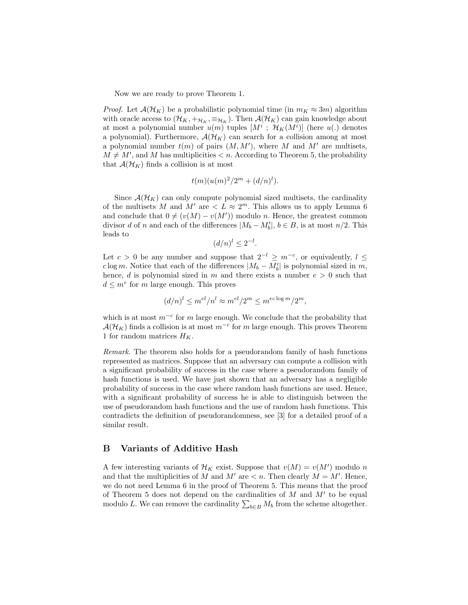Now we are ready to prove Theorem 1.

*Proof.* Let  $\mathcal{A}(\mathcal{H}_K)$  be a probabilistic polynomial time (in  $m_K \approx 3m$ ) algorithm with oracle access to  $(\mathcal{H}_K, +_{\mathcal{H}_K}, \equiv_{\mathcal{H}_K})$ . Then  $\mathcal{A}(\mathcal{H}_K)$  can gain knowledge about at most a polynomial number  $u(m)$  tuples  $[M^i; H_K(M^i)]$  (here  $u(.)$  denotes a polynomial). Furthermore,  $\mathcal{A}(\mathcal{H}_K)$  can search for a collision among at most a polynomial number  $t(m)$  of pairs  $(M, M')$ , where M and M' are multisets,  $M \neq M'$ , and M has multiplicities  $\lt n$ . According to Theorem 5, the probability that  $\mathcal{A}(\mathcal{H}_K)$  finds a collision is at most

$$
t(m)(u(m)^{2}/2^{m}+(d/n)^{l}).
$$

Since  $\mathcal{A}(\mathcal{H}_K)$  can only compute polynomial sized multisets, the cardinality of the multisets M and M' are  $\lt L \approx 2^m$ . This allows us to apply Lemma 6 and conclude that  $0 \neq (v(M) - v(M'))$  modulo n. Hence, the greatest common divisor d of n and each of the differences  $|M_b - M'_b|$ ,  $b \in B$ , is at most  $n/2$ . This leads to

$$
(d/n)^l \le 2^{-l}.
$$

Let  $c > 0$  be any number and suppose that  $2^{-l} \geq m^{-c}$ , or equivalently,  $l \leq$ clog m. Notice that each of the differences  $|M_b - M'_b|$  is polynomial sized in m, hence, d is polynomial sized in m and there exists a number  $e > 0$  such that  $d \leq m^e$  for m large enough. This proves

$$
(d/n)^l \le m^{el}/n^l \approx m^{el}/2^m \le m^{ec \log m}/2^m,
$$

which is at most  $m^{-c}$  for m large enough. We conclude that the probability that  $\mathcal{A}(\mathcal{H}_K)$  finds a collision is at most  $m^{-c}$  for m large enough. This proves Theorem 1 for random matrices  $H_K$ .

Remark. The theorem also holds for a pseudorandom family of hash functions represented as matrices. Suppose that an adversary can compute a collision with a significant probability of success in the case where a pseudorandom family of hash functions is used. We have just shown that an adversary has a negligible probability of success in the case where random hash functions are used. Hence, with a significant probability of success he is able to distinguish between the use of pseudorandom hash functions and the use of random hash functions. This contradicts the definition of pseudorandomness, see [3] for a detailed proof of a similar result.

# B Variants of Additive Hash

A few interesting variants of  $\mathcal{H}_K$  exist. Suppose that  $v(M) = v(M')$  modulo n and that the multiplicities of M and  $M'$  are  $\lt n$ . Then clearly  $M = M'$ . Hence, we do not need Lemma 6 in the proof of Theorem 5. This means that the proof of Theorem 5 does not depend on the cardinalities of  $M$  and  $M'$  to be equal of Theorem 5 does not depend on the cardinalities of M and M to be equal modulo L. We can remove the cardinality  $\sum_{b\in B} M_b$  from the scheme altogether.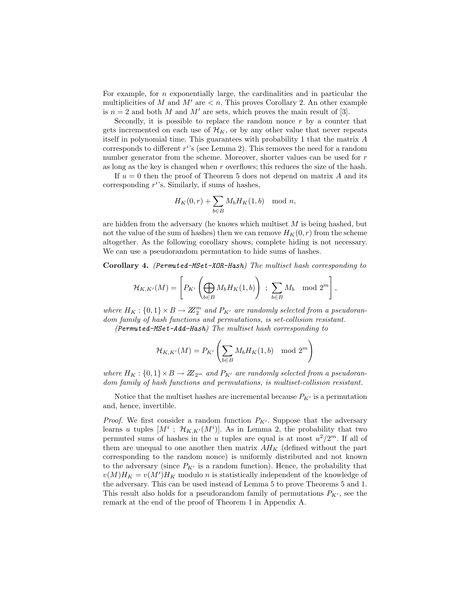For example, for  $n$  exponentially large, the cardinalities and in particular the multiplicities of M and  $M'$  are  $\lt n$ . This proves Corollary 2. An other example is  $n = 2$  and both M and M' are sets, which proves the main result of [3].

Secondly, it is possible to replace the random nonce  $r$  by a counter that gets incremented on each use of  $\mathcal{H}_K$ , or by any other value that never repeats itself in polynomial time. This guarantees with probability 1 that the matrix A corresponds to different  $r^{i}$ 's (see Lemma 2). This removes the need for a random number generator from the scheme. Moreover, shorter values can be used for r as long as the key is changed when r overflows; this reduces the size of the hash.

If  $u = 0$  then the proof of Theorem 5 does not depend on matrix A and its corresponding  $r^i$ 's. Similarly, if sums of hashes,

$$
H_K(0,r) + \sum_{b \in B} M_b H_K(1,b) \mod n,
$$

are hidden from the adversary (he knows which multiset  $M$  is being hashed, but not the value of the sum of hashes) then we can remove  $H_K(0, r)$  from the scheme altogether. As the following corollary shows, complete hiding is not necessary. We can use a pseudorandom permutation to hide sums of hashes.

Corollary 4. (Permuted-MSet-XOR-Hash) The multiset hash corresponding to

$$
\mathcal{H}_{K,K'}(M) = \left[ P_{K'} \left( \bigoplus_{b \in B} M_b H_K(1,b) \right) ; \sum_{b \in B} M_b \mod 2^m \right],
$$

where  $H_K: \{0,1\} \times B \to \mathbb{Z}_2^m$  and  $P_{K'}$  are randomly selected from a pseudorandom family of hash functions and permutations, is set-collision resistant.

(Permuted-MSet-Add-Hash) The multiset hash corresponding to

$$
\mathcal{H}_{K,K'}(M)=P_{K'}\left(\sum_{b\in B}M_bH_K(1,b)\mod 2^m\right)
$$

where  $H_K: \{0,1\} \times B \to \mathbb{Z}_{2^m}$  and  $P_{K'}$  are randomly selected from a pseudorandom family of hash functions and permutations, is multiset-collision resistant.

Notice that the multiset hashes are incremental because  $P_{K'}$  is a permutation and, hence, invertible.

*Proof.* We first consider a random function  $P_{K'}$ . Suppose that the adversary learns u tuples  $[M^i$ ;  $\mathcal{H}_{K,K'}(M^i)]$ . As in Lemma 2, the probability that two permuted sums of hashes in the u tuples are equal is at most  $u^2/2^m$ . If all of them are unequal to one another then matrix  $AH_K$  (defined without the part corresponding to the random nonce) is uniformly distributed and not known to the adversary (since  $P_{K'}$  is a random function). Hence, the probability that  $v(M)H_K = v(M')H_K$  modulo n is statistically independent of the knowledge of the adversary. This can be used instead of Lemma 5 to prove Theorems 5 and 1. This result also holds for a pseudorandom family of permutations  $P_{K'}$ , see the remark at the end of the proof of Theorem 1 in Appendix A.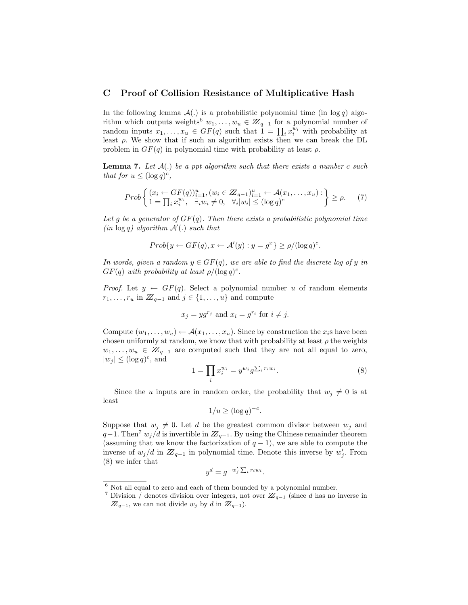## C Proof of Collision Resistance of Multiplicative Hash

In the following lemma  $\mathcal{A}(.)$  is a probabilistic polynomial time (in log q) algorithm which outputs weights<sup>6</sup>  $w_1, \ldots, w_u \in \mathbb{Z}_{q-1}$  for a polynomial number of Fitum which outputs weights  $w_1, \ldots, w_u \in \mathbb{Z}_{q-1}$  for a polynomial number of random inputs  $x_1, \ldots, x_u \in GF(q)$  such that  $1 = \prod_i x_i^{w_i}$  with probability at least  $\rho$ . We show that if such an algorithm exists then we can break the DL problem in  $GF(q)$  in polynomial time with probability at least  $\rho$ .

**Lemma 7.** Let  $A(.)$  be a ppt algorithm such that there exists a number c such that for  $u \leq (\log q)^c$ ,

$$
Prob\left\{ (x_i \leftarrow GF(q))_{i=1}^u, (w_i \in Z_{q-1})_{i=1}^u \leftarrow \mathcal{A}(x_1, \dots, x_u) : \atop 1 = \prod_i x_i^{w_i}, \quad \exists_i w_i \neq 0, \quad \forall_i |w_i| \leq (\log q)^c \right\} \geq \rho.
$$
 (7)

Let g be a generator of  $GF(q)$ . Then there exists a probabilistic polynomial time  $(in log q)$  algorithm  $A'(.)$  such that

$$
Prob\{y \leftarrow GF(q), x \leftarrow \mathcal{A}'(y) : y = g^x\} \ge \rho/(\log q)^c.
$$

In words, given a random  $y \in GF(q)$ , we are able to find the discrete log of y in  $GF(q)$  with probability at least  $\rho/(\log q)^c$ .

*Proof.* Let  $y \leftarrow GF(q)$ . Select a polynomial number u of random elements  $r_1, \ldots, r_u$  in  $\mathbb{Z}_{q-1}$  and  $j \in \{1, \ldots, u\}$  and compute

$$
x_j = yg^{r_j}
$$
 and  $x_i = g^{r_i}$  for  $i \neq j$ .

Compute  $(w_1, \ldots, w_u) \leftarrow \mathcal{A}(x_1, \ldots, x_u)$ . Since by construction the  $x_i$ s have been chosen uniformly at random, we know that with probability at least  $\rho$  the weights  $w_1, \ldots, w_u \in \mathbb{Z}_{q-1}$  are computed such that they are not all equal to zero,  $|w_j| \leq (\log q)^c$ , and  $\overline{ }$ 

$$
1 = \prod_i x_i^{w_i} = y^{w_j} g^{\sum_i r_i w_i}.
$$
\n
$$
(8)
$$

Since the u inputs are in random order, the probability that  $w_i \neq 0$  is at least

$$
1/u \ge (\log q)^{-c}.
$$

Suppose that  $w_j \neq 0$ . Let d be the greatest common divisor between  $w_j$  and  $q-1$ . Then<sup>7</sup>  $w_j/d$  is invertible in  $\mathbb{Z}_{q-1}$ . By using the Chinese remainder theorem (assuming that we know the factorization of  $q-1$ ), we are able to compute the inverse of  $w_j/d$  in  $Z_{q-1}$  in polynomial time. Denote this inverse by  $w'_j$ . From (8) we infer that  $\overline{ }$ 

$$
y^d = g^{-w'_j \sum_i r_i w_i}.
$$

 $^6$  Not all equal to zero and each of them bounded by a polynomial number.

<sup>&</sup>lt;sup>7</sup> Division  $\bar{}/$  denotes division over integers, not over  $\mathbb{Z}_{q-1}$  (since d has no inverse in  $\mathbb{Z}_{q-1}$ , we can not divide  $w_j$  by d in  $\mathbb{Z}_{q-1}$ ).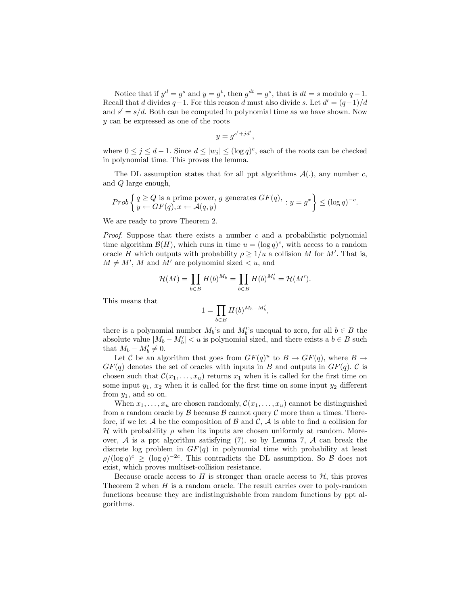Notice that if  $y^d = g^s$  and  $y = g^t$ , then  $g^{dt} = g^s$ , that is  $dt = s$  modulo  $q - 1$ . Recall that d divides  $q-1$ . For this reason d must also divide s. Let  $d' = (q-1)/d$ and  $s' = s/d$ . Both can be computed in polynomial time as we have shown. Now y can be expressed as one of the roots

$$
y = g^{s'+jd'},
$$

where  $0 \leq j \leq d-1$ . Since  $d \leq |w_j| \leq (\log q)^c$ , each of the roots can be checked in polynomial time. This proves the lemma.

The DL assumption states that for all ppt algorithms  $\mathcal{A}(.)$ , any number c, and Q large enough,

*Prob* 
$$
\left\{ \begin{aligned} q &\ge Q \text{ is a prime power, } g \text{ generates } GF(q), \\ y &\leftarrow GF(q), x \leftarrow \mathcal{A}(q, y) \end{aligned} \right. : y = g^x \right\} \le (\log q)^{-c}.
$$

We are ready to prove Theorem 2.

*Proof.* Suppose that there exists a number  $c$  and a probabilistic polynomial time algorithm  $\mathcal{B}(H)$ , which runs in time  $u = (\log q)^c$ , with access to a random oracle H which outputs with probability  $\rho \geq 1/u$  a collision M for M'. That is,  $M \neq M'$ , M and M' are polynomial sized  $\lt u$ , and

$$
\mathcal{H}(M) = \prod_{b \in B} H(b)^{M_b} = \prod_{b \in B} H(b)^{M'_b} = \mathcal{H}(M').
$$

This means that

$$
1 = \prod_{b \in B} H(b)^{M_b - M'_b},
$$

there is a polynomial number  $M_b$ 's and  $M_b'$ 's unequal to zero, for all  $b \in B$  the absolute value  $|M_b - M'_b| < u$  is polynomial sized, and there exists a  $b \in B$  such that  $M_b - M'_b \neq 0$ .

Let C be an algorithm that goes from  $GF(q)^u$  to  $B \to GF(q)$ , where  $B \to$  $GF(q)$  denotes the set of oracles with inputs in B and outputs in  $GF(q)$ . C is chosen such that  $\mathcal{C}(x_1,\ldots,x_u)$  returns  $x_1$  when it is called for the first time on some input  $y_1, x_2$  when it is called for the first time on some input  $y_2$  different from  $y_1$ , and so on.

When  $x_1, \ldots, x_u$  are chosen randomly,  $\mathcal{C}(x_1, \ldots, x_u)$  cannot be distinguished from a random oracle by  $\beta$  because  $\beta$  cannot query  $\beta$  more than u times. Therefore, if we let A be the composition of B and C, A is able to find a collision for H with probability  $\rho$  when its inputs are chosen uniformly at random. Moreover,  $A$  is a ppt algorithm satisfying (7), so by Lemma 7,  $A$  can break the discrete log problem in  $GF(q)$  in polynomial time with probability at least  $\rho/(\log q)^c \geq (\log q)^{-2c}$ . This contradicts the DL assumption. So B does not exist, which proves multiset-collision resistance.

Because oracle access to  $H$  is stronger than oracle access to  $H$ , this proves Theorem 2 when  $H$  is a random oracle. The result carries over to poly-random functions because they are indistinguishable from random functions by ppt algorithms.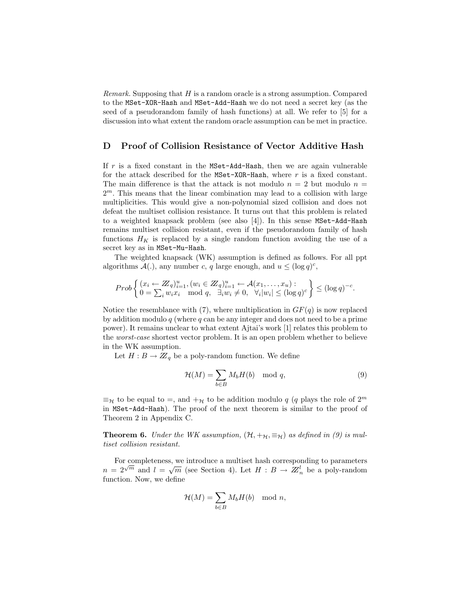*Remark.* Supposing that  $H$  is a random oracle is a strong assumption. Compared to the MSet-XOR-Hash and MSet-Add-Hash we do not need a secret key (as the seed of a pseudorandom family of hash functions) at all. We refer to [5] for a discussion into what extent the random oracle assumption can be met in practice.

# D Proof of Collision Resistance of Vector Additive Hash

If  $r$  is a fixed constant in the  $MSet-Add-Hash$ , then we are again vulnerable for the attack described for the MSet-XOR-Hash, where r is a fixed constant. The main difference is that the attack is not modulo  $n = 2$  but modulo  $n =$  $2<sup>m</sup>$ . This means that the linear combination may lead to a collision with large multiplicities. This would give a non-polynomial sized collision and does not defeat the multiset collision resistance. It turns out that this problem is related to a weighted knapsack problem (see also [4]). In this sense MSet-Add-Hash remains multiset collision resistant, even if the pseudorandom family of hash functions  $H_K$  is replaced by a single random function avoiding the use of a secret key as in MSet-Mu-Hash.

The weighted knapsack (WK) assumption is defined as follows. For all ppt algorithms  $\mathcal{A}(.)$ , any number c, q large enough, and  $u \leq (\log q)^c$ ,

$$
Prob\left\{ \begin{aligned} (x_i &\leftarrow Z_q)_{i=1}^u, (w_i \in Z_q)_{i=1}^u \leftarrow \mathcal{A}(x_1, \dots, x_u) : \\ 0 &\in \sum_i w_i x_i \mod q, \quad \exists_i w_i \neq 0, \quad \forall_i |w_i| \leq (\log q)^c \end{aligned} \right\} \leq (\log q)^{-c}.
$$

Notice the resemblance with (7), where multiplication in  $GF(q)$  is now replaced by addition modulo  $q$  (where  $q$  can be any integer and does not need to be a prime power). It remains unclear to what extent Ajtai's work [1] relates this problem to the worst-case shortest vector problem. It is an open problem whether to believe in the WK assumption.

Let  $H : B \to \mathbb{Z}_q$  be a poly-random function. We define

$$
\mathcal{H}(M) = \sum_{b \in B} M_b H(b) \mod q,\tag{9}
$$

 $\equiv_{\mathcal{H}}$  to be equal to =, and  $+_{\mathcal{H}}$  to be addition modulo q (q plays the role of  $2^m$ ) in MSet-Add-Hash). The proof of the next theorem is similar to the proof of Theorem 2 in Appendix C.

**Theorem 6.** Under the WK assumption,  $(\mathcal{H}, +_{\mathcal{H}}, \equiv_{\mathcal{H}})$  as defined in (9) is multiset collision resistant.

For completeness, we introduce a multiset hash corresponding to parameters For completeness, we introduce a multiset hash corresponding to parameters  $n = 2^{\sqrt{m}}$  and  $l = \sqrt{m}$  (see Section 4). Let  $H : B \to \mathbb{Z}_n^l$  be a poly-random function. Now, we define

$$
\mathcal{H}(M) = \sum_{b \in B} M_b H(b) \mod n,
$$